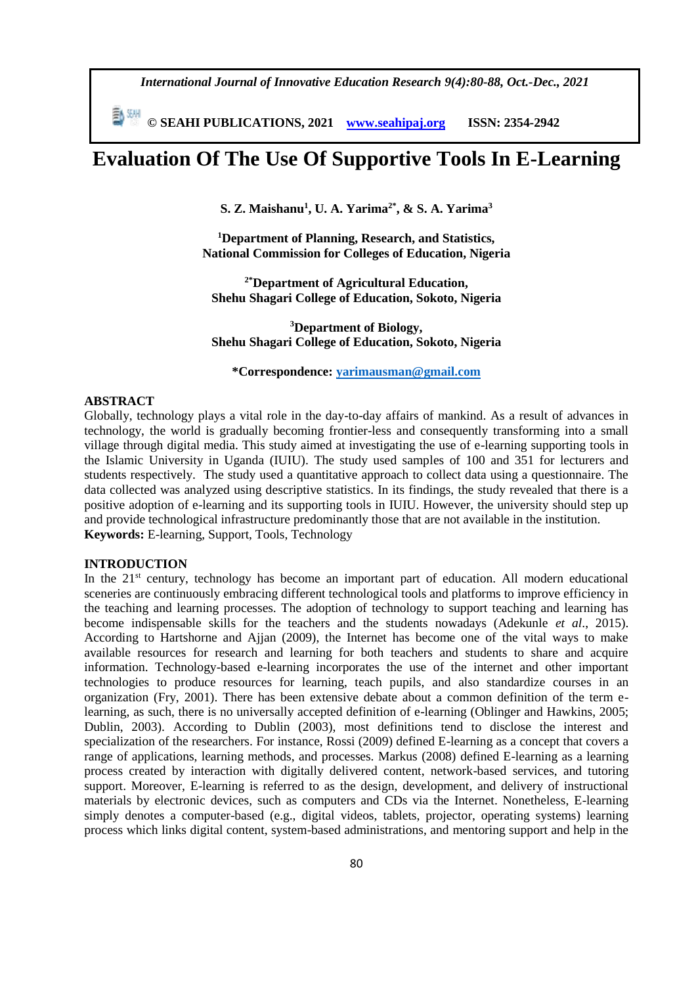*International Journal of Innovative Education Research 9(4):80-88, Oct.-Dec., 2021*

 **© SEAHI PUBLICATIONS, 2021 [www.seahipaj.org](http://www.seahipaj.org/) ISSN: 2354-2942**

# **Evaluation Of The Use Of Supportive Tools In E-Learning**

**S. Z. Maishanu<sup>1</sup> , U. A. Yarima2\*, & S. A. Yarima<sup>3</sup>**

**<sup>1</sup>Department of Planning, Research, and Statistics, National Commission for Colleges of Education, Nigeria**

**2\*Department of Agricultural Education, Shehu Shagari College of Education, Sokoto, Nigeria**

**<sup>3</sup>Department of Biology, Shehu Shagari College of Education, Sokoto, Nigeria**

**\*Correspondence: [yarimausman@gmail.com](mailto:yarimausman@gmail.com)**

# **ABSTRACT**

Globally, technology plays a vital role in the day-to-day affairs of mankind. As a result of advances in technology, the world is gradually becoming frontier-less and consequently transforming into a small village through digital media. This study aimed at investigating the use of e-learning supporting tools in the Islamic University in Uganda (IUIU). The study used samples of 100 and 351 for lecturers and students respectively. The study used a quantitative approach to collect data using a questionnaire. The data collected was analyzed using descriptive statistics. In its findings, the study revealed that there is a positive adoption of e-learning and its supporting tools in IUIU. However, the university should step up and provide technological infrastructure predominantly those that are not available in the institution. **Keywords:** E-learning, Support, Tools, Technology

# **INTRODUCTION**

In the 21<sup>st</sup> century, technology has become an important part of education. All modern educational sceneries are continuously embracing different technological tools and platforms to improve efficiency in the teaching and learning processes. The adoption of technology to support teaching and learning has become indispensable skills for the teachers and the students nowadays (Adekunle *et al*., 2015). According to Hartshorne and Ajjan (2009), the Internet has become one of the vital ways to make available resources for research and learning for both teachers and students to share and acquire information. Technology-based e-learning incorporates the use of the internet and other important technologies to produce resources for learning, teach pupils, and also standardize courses in an organization (Fry, 2001). There has been extensive debate about a common definition of the term elearning, as such, there is no universally accepted definition of e-learning (Oblinger and Hawkins, 2005; Dublin, 2003). According to Dublin (2003), most definitions tend to disclose the interest and specialization of the researchers. For instance, Rossi (2009) defined E-learning as a concept that covers a range of applications, learning methods, and processes. Markus (2008) defined E-learning as a learning process created by interaction with digitally delivered content, network-based services, and tutoring support. Moreover, E-learning is referred to as the design, development, and delivery of instructional materials by electronic devices, such as computers and CDs via the Internet. Nonetheless, E-learning simply denotes a computer-based (e.g., digital videos, tablets, projector, operating systems) learning process which links digital content, system-based administrations, and mentoring support and help in the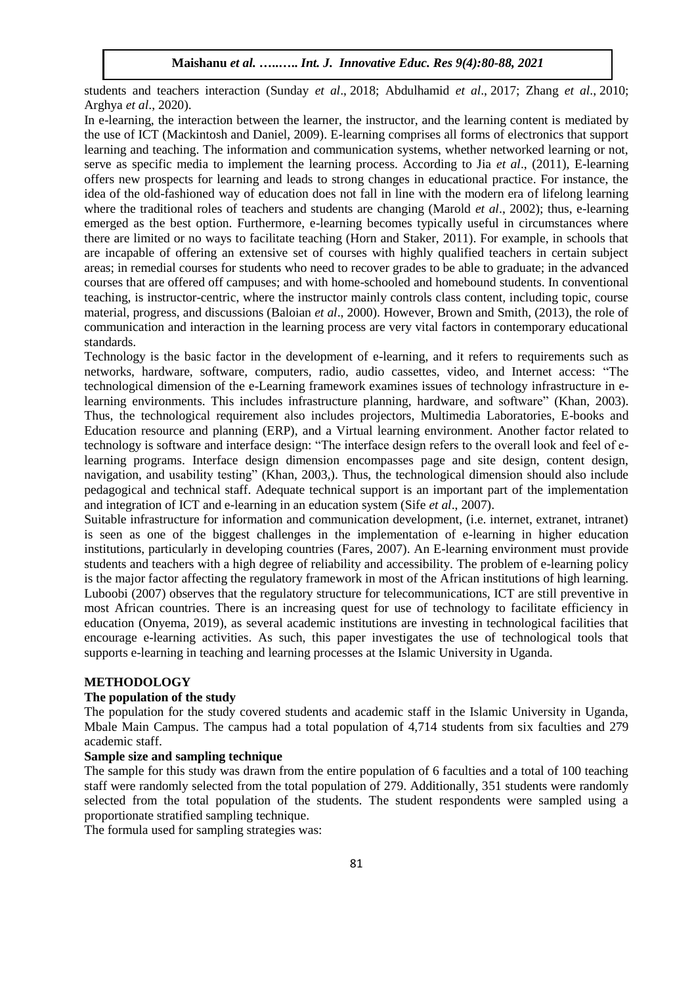students and teachers interaction (Sunday *et al*., 2018; Abdulhamid *et al*., 2017; Zhang *et al*., 2010; Arghya *et al*., 2020).

In e-learning, the interaction between the learner, the instructor, and the learning content is mediated by the use of ICT (Mackintosh and Daniel, 2009). E-learning comprises all forms of electronics that support learning and teaching. The information and communication systems, whether networked learning or not, serve as specific media to implement the learning process. According to Jia *et al*., (2011), E-learning offers new prospects for learning and leads to strong changes in educational practice. For instance, the idea of the old-fashioned way of education does not fall in line with the modern era of lifelong learning where the traditional roles of teachers and students are changing (Marold *et al*., 2002); thus, e-learning emerged as the best option. Furthermore, e-learning becomes typically useful in circumstances where there are limited or no ways to facilitate teaching (Horn and Staker, 2011). For example, in schools that are incapable of offering an extensive set of courses with highly qualified teachers in certain subject areas; in remedial courses for students who need to recover grades to be able to graduate; in the advanced courses that are offered off campuses; and with home-schooled and homebound students. In conventional teaching, is instructor-centric, where the instructor mainly controls class content, including topic, course material, progress, and discussions (Baloian *et al*., 2000). However, Brown and Smith, (2013), the role of communication and interaction in the learning process are very vital factors in contemporary educational standards.

Technology is the basic factor in the development of e-learning, and it refers to requirements such as networks, hardware, software, computers, radio, audio cassettes, video, and Internet access: "The technological dimension of the e-Learning framework examines issues of technology infrastructure in elearning environments. This includes infrastructure planning, hardware, and software" (Khan, 2003). Thus, the technological requirement also includes projectors, Multimedia Laboratories, E-books and Education resource and planning (ERP), and a Virtual learning environment. Another factor related to technology is software and interface design: "The interface design refers to the overall look and feel of elearning programs. Interface design dimension encompasses page and site design, content design, navigation, and usability testing" (Khan, 2003,). Thus, the technological dimension should also include pedagogical and technical staff. Adequate technical support is an important part of the implementation and integration of ICT and e-learning in an education system (Sife *et al*., 2007).

Suitable infrastructure for information and communication development, (i.e. internet, extranet, intranet) is seen as one of the biggest challenges in the implementation of e-learning in higher education institutions, particularly in developing countries (Fares, 2007). An E-learning environment must provide students and teachers with a high degree of reliability and accessibility. The problem of e-learning policy is the major factor affecting the regulatory framework in most of the African institutions of high learning. Luboobi (2007) observes that the regulatory structure for telecommunications, ICT are still preventive in most African countries. There is an increasing quest for use of technology to facilitate efficiency in education (Onyema, 2019), as several academic institutions are investing in technological facilities that encourage e-learning activities. As such, this paper investigates the use of technological tools that supports e-learning in teaching and learning processes at the Islamic University in Uganda.

#### **METHODOLOGY**

# **The population of the study**

The population for the study covered students and academic staff in the Islamic University in Uganda, Mbale Main Campus. The campus had a total population of 4,714 students from six faculties and 279 academic staff.

### **Sample size and sampling technique**

The sample for this study was drawn from the entire population of 6 faculties and a total of 100 teaching staff were randomly selected from the total population of 279. Additionally, 351 students were randomly selected from the total population of the students. The student respondents were sampled using a proportionate stratified sampling technique.

The formula used for sampling strategies was: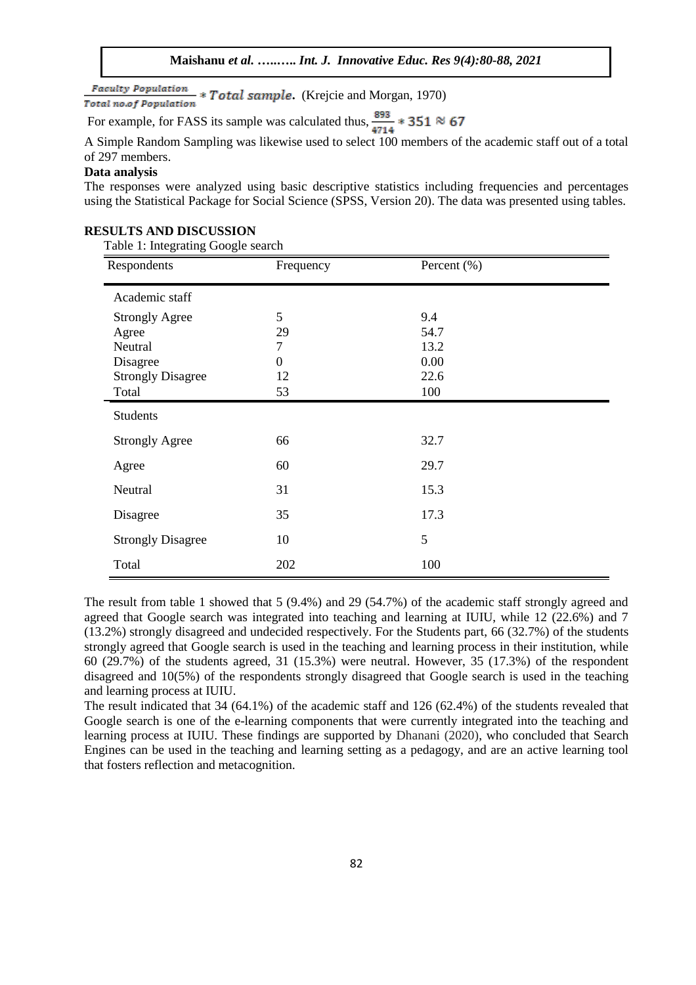**Faculty Population** \* **Total sample.** (Krejcie and Morgan, 1970) Total no.of Population

For example, for FASS its sample was calculated thus,  $\frac{893}{4714}$  \* 351  $\approx$  67

A Simple Random Sampling was likewise used to select 100 members of the academic staff out of a total of 297 members.

# **Data analysis**

The responses were analyzed using basic descriptive statistics including frequencies and percentages using the Statistical Package for Social Science (SPSS, Version 20). The data was presented using tables.

#### **RESULTS AND DISCUSSION**

Table 1: Integrating Google search

| O<br>O<br>O<br>Respondents | Frequency | Percent $(\% )$ |
|----------------------------|-----------|-----------------|
| Academic staff             |           |                 |
| <b>Strongly Agree</b>      | 5         | 9.4             |
| Agree                      | 29        | 54.7            |
| Neutral                    | 7         | 13.2            |
| Disagree                   | 0         | 0.00            |
| <b>Strongly Disagree</b>   | 12        | 22.6            |
| Total                      | 53        | 100             |
| <b>Students</b>            |           |                 |
| <b>Strongly Agree</b>      | 66        | 32.7            |
| Agree                      | 60        | 29.7            |
| Neutral                    | 31        | 15.3            |
| Disagree                   | 35        | 17.3            |
| <b>Strongly Disagree</b>   | 10        | 5               |
| Total                      | 202       | 100             |

The result from table 1 showed that 5 (9.4%) and 29 (54.7%) of the academic staff strongly agreed and agreed that Google search was integrated into teaching and learning at IUIU, while 12 (22.6%) and 7 (13.2%) strongly disagreed and undecided respectively. For the Students part, 66 (32.7%) of the students strongly agreed that Google search is used in the teaching and learning process in their institution, while 60 (29.7%) of the students agreed, 31 (15.3%) were neutral. However, 35 (17.3%) of the respondent disagreed and 10(5%) of the respondents strongly disagreed that Google search is used in the teaching and learning process at IUIU.

The result indicated that 34 (64.1%) of the academic staff and 126 (62.4%) of the students revealed that Google search is one of the e-learning components that were currently integrated into the teaching and learning process at IUIU. These findings are supported by Dhanani (2020), who concluded that Search Engines can be used in the teaching and learning setting as a pedagogy, and are an active learning tool that fosters reflection and metacognition.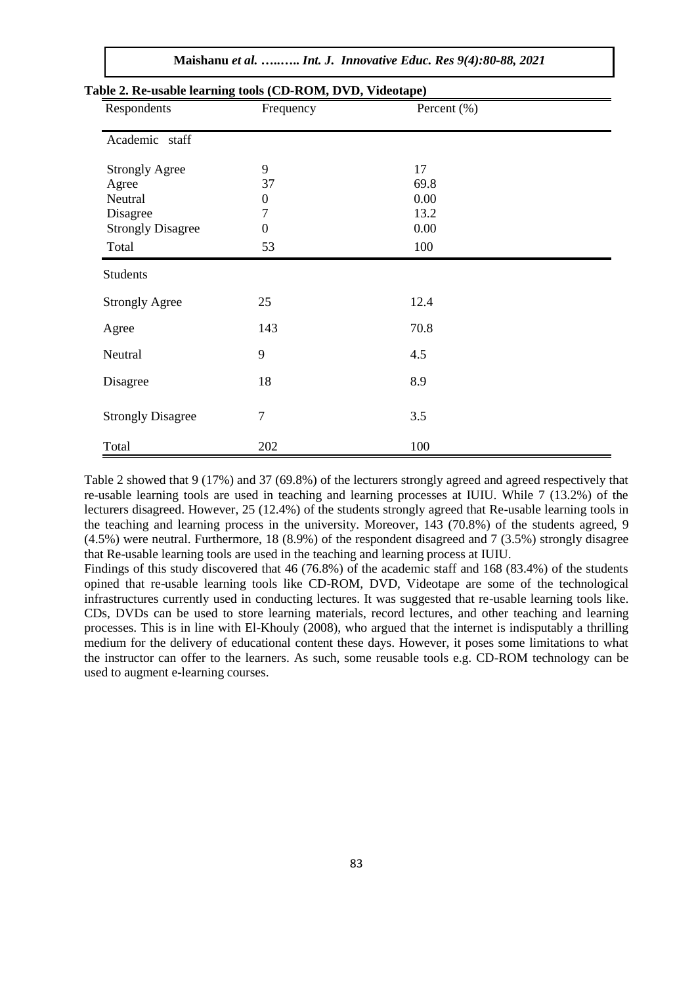| Respondents                              | Frequency        | Percent (%) |  |
|------------------------------------------|------------------|-------------|--|
| Academic staff                           |                  |             |  |
| <b>Strongly Agree</b>                    | 9                | 17          |  |
| Agree                                    | 37               | 69.8        |  |
| Neutral                                  | $\boldsymbol{0}$ | 0.00        |  |
| Disagree                                 | 7                | 13.2        |  |
| <b>Strongly Disagree</b>                 | $\boldsymbol{0}$ | 0.00        |  |
| Total                                    | 53               | 100         |  |
| <b>Students</b><br><b>Strongly Agree</b> | 25               | 12.4        |  |
| Agree                                    | 143              | 70.8        |  |
| Neutral                                  | 9                | 4.5         |  |
| Disagree                                 | 18               | 8.9         |  |
| <b>Strongly Disagree</b>                 | $\tau$           | 3.5         |  |
| Total                                    | 202              | 100         |  |

Table 2 showed that 9 (17%) and 37 (69.8%) of the lecturers strongly agreed and agreed respectively that re-usable learning tools are used in teaching and learning processes at IUIU. While 7 (13.2%) of the lecturers disagreed. However, 25 (12.4%) of the students strongly agreed that Re-usable learning tools in the teaching and learning process in the university. Moreover, 143 (70.8%) of the students agreed, 9 (4.5%) were neutral. Furthermore, 18 (8.9%) of the respondent disagreed and 7 (3.5%) strongly disagree that Re-usable learning tools are used in the teaching and learning process at IUIU.

Findings of this study discovered that 46 (76.8%) of the academic staff and 168 (83.4%) of the students opined that re-usable learning tools like CD-ROM, DVD, Videotape are some of the technological infrastructures currently used in conducting lectures. It was suggested that re-usable learning tools like. CDs, DVDs can be used to store learning materials, record lectures, and other teaching and learning processes. This is in line with El-Khouly (2008), who argued that the internet is indisputably a thrilling medium for the delivery of educational content these days. However, it poses some limitations to what the instructor can offer to the learners. As such, some reusable tools e.g. CD-ROM technology can be used to augment e-learning courses.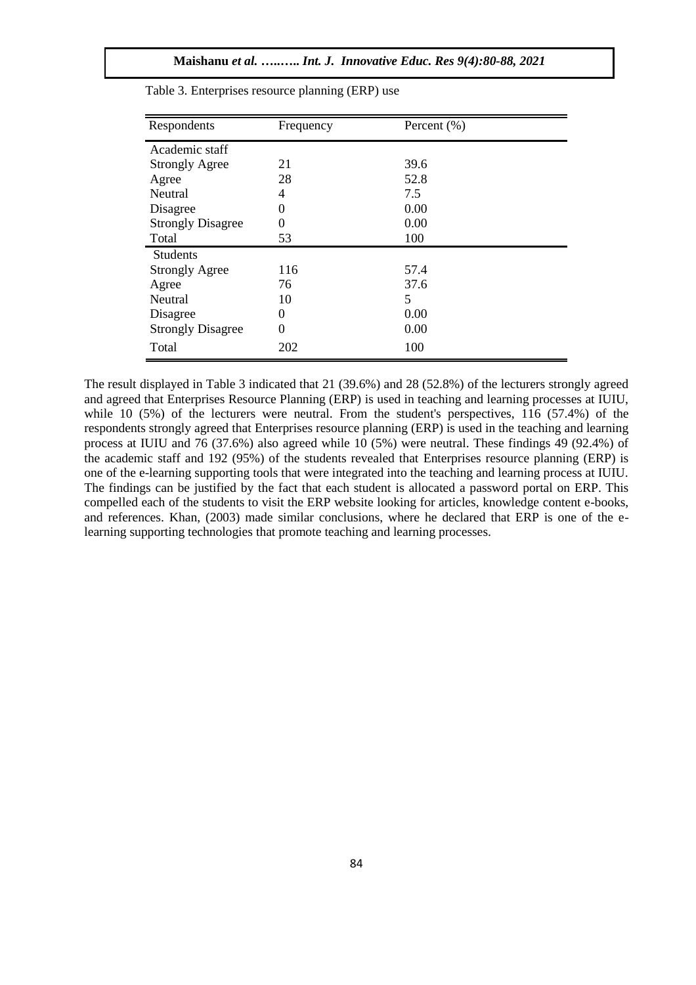| Respondents              | Frequency | Percent $(\% )$ |
|--------------------------|-----------|-----------------|
| Academic staff           |           |                 |
| <b>Strongly Agree</b>    | 21        | 39.6            |
| Agree                    | 28        | 52.8            |
| Neutral                  | 4         | 7.5             |
| Disagree                 | $\theta$  | 0.00            |
| <b>Strongly Disagree</b> | $\theta$  | 0.00            |
| Total                    | 53        | 100             |
| <b>Students</b>          |           |                 |
| <b>Strongly Agree</b>    | 116       | 57.4            |
| Agree                    | 76        | 37.6            |
| Neutral                  | 10        | 5               |
| Disagree                 | $\theta$  | 0.00            |
| <b>Strongly Disagree</b> | 0         | 0.00            |
| Total                    | 202       | 100             |

Table 3. Enterprises resource planning (ERP) use

The result displayed in Table 3 indicated that 21 (39.6%) and 28 (52.8%) of the lecturers strongly agreed and agreed that Enterprises Resource Planning (ERP) is used in teaching and learning processes at IUIU, while 10 (5%) of the lecturers were neutral. From the student's perspectives, 116 (57.4%) of the respondents strongly agreed that Enterprises resource planning (ERP) is used in the teaching and learning process at IUIU and 76 (37.6%) also agreed while 10 (5%) were neutral. These findings 49 (92.4%) of the academic staff and 192 (95%) of the students revealed that Enterprises resource planning (ERP) is one of the e-learning supporting tools that were integrated into the teaching and learning process at IUIU. The findings can be justified by the fact that each student is allocated a password portal on ERP. This compelled each of the students to visit the ERP website looking for articles, knowledge content e-books, and references. Khan, (2003) made similar conclusions, where he declared that ERP is one of the elearning supporting technologies that promote teaching and learning processes.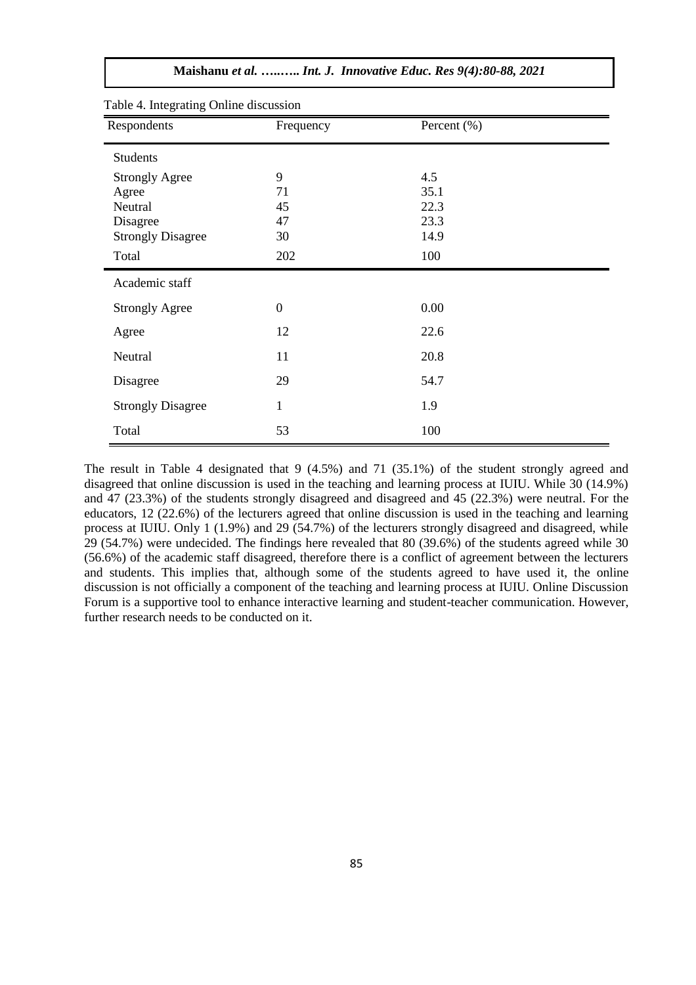| Table 4. Integrating Online discussion<br>Respondents | Frequency        | Percent $(\% )$ |  |
|-------------------------------------------------------|------------------|-----------------|--|
|                                                       |                  |                 |  |
| <b>Students</b>                                       |                  |                 |  |
| <b>Strongly Agree</b>                                 | 9                | 4.5             |  |
| Agree                                                 | 71               | 35.1            |  |
| Neutral                                               | 45               | 22.3            |  |
| Disagree                                              | 47               | 23.3            |  |
| <b>Strongly Disagree</b>                              | 30               | 14.9            |  |
| Total                                                 | 202              | 100             |  |
| Academic staff                                        |                  |                 |  |
| <b>Strongly Agree</b>                                 | $\boldsymbol{0}$ | 0.00            |  |
| Agree                                                 | 12               | 22.6            |  |
| Neutral                                               | 11               | 20.8            |  |
| Disagree                                              | 29               | 54.7            |  |
| <b>Strongly Disagree</b>                              | $\mathbf{1}$     | 1.9             |  |
|                                                       |                  |                 |  |

**Maishanu** *et al.* **…..…..** *Int. J. Innovative Educ. Res 9(4):80-88, 2021*

The result in Table 4 designated that 9 (4.5%) and 71 (35.1%) of the student strongly agreed and disagreed that online discussion is used in the teaching and learning process at IUIU. While 30 (14.9%) and 47 (23.3%) of the students strongly disagreed and disagreed and 45 (22.3%) were neutral. For the educators, 12 (22.6%) of the lecturers agreed that online discussion is used in the teaching and learning process at IUIU. Only 1 (1.9%) and 29 (54.7%) of the lecturers strongly disagreed and disagreed, while 29 (54.7%) were undecided. The findings here revealed that 80 (39.6%) of the students agreed while 30 (56.6%) of the academic staff disagreed, therefore there is a conflict of agreement between the lecturers and students. This implies that, although some of the students agreed to have used it, the online discussion is not officially a component of the teaching and learning process at IUIU. Online Discussion Forum is a supportive tool to enhance interactive learning and student-teacher communication. However, further research needs to be conducted on it.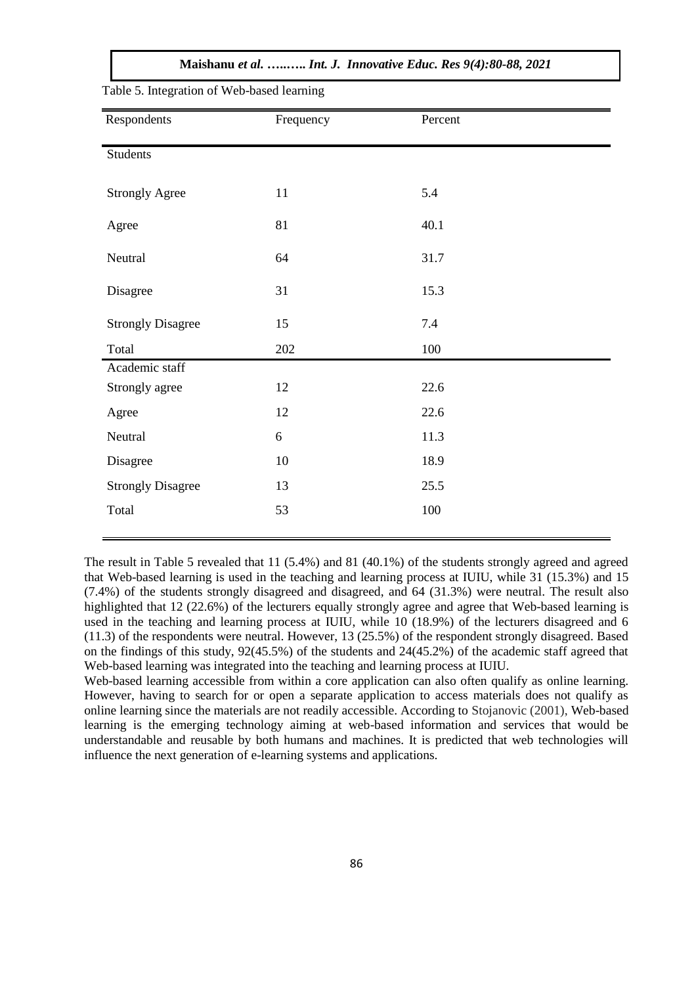**Maishanu** *et al.* **…..…..** *Int. J. Innovative Educ. Res 9(4):80-88, 2021*

| Respondents              | Frequency | Percent |
|--------------------------|-----------|---------|
| <b>Students</b>          |           |         |
| <b>Strongly Agree</b>    | 11        | 5.4     |
| Agree                    | 81        | 40.1    |
| Neutral                  | 64        | 31.7    |
| Disagree                 | 31        | 15.3    |
| <b>Strongly Disagree</b> | 15        | 7.4     |
| Total                    | 202       | 100     |
| Academic staff           |           |         |
| Strongly agree           | 12        | 22.6    |
| Agree                    | 12        | 22.6    |
| Neutral                  | $6\,$     | 11.3    |
| Disagree                 | 10        | 18.9    |
| <b>Strongly Disagree</b> | 13        | 25.5    |
| Total                    | 53        | 100     |

Table 5. Integration of Web-based learning

The result in Table 5 revealed that 11 (5.4%) and 81 (40.1%) of the students strongly agreed and agreed that Web-based learning is used in the teaching and learning process at IUIU, while 31 (15.3%) and 15 (7.4%) of the students strongly disagreed and disagreed, and 64 (31.3%) were neutral. The result also highlighted that 12 (22.6%) of the lecturers equally strongly agree and agree that Web-based learning is used in the teaching and learning process at IUIU, while 10 (18.9%) of the lecturers disagreed and 6 (11.3) of the respondents were neutral. However, 13 (25.5%) of the respondent strongly disagreed. Based on the findings of this study, 92(45.5%) of the students and 24(45.2%) of the academic staff agreed that Web-based learning was integrated into the teaching and learning process at IUIU.

Web-based learning accessible from within a core application can also often qualify as online learning. However, having to search for or open a separate application to access materials does not qualify as online learning since the materials are not readily accessible. According to Stojanovic (2001), Web-based learning is the emerging technology aiming at web-based information and services that would be understandable and reusable by both humans and machines. It is predicted that web technologies will influence the next generation of e-learning systems and applications.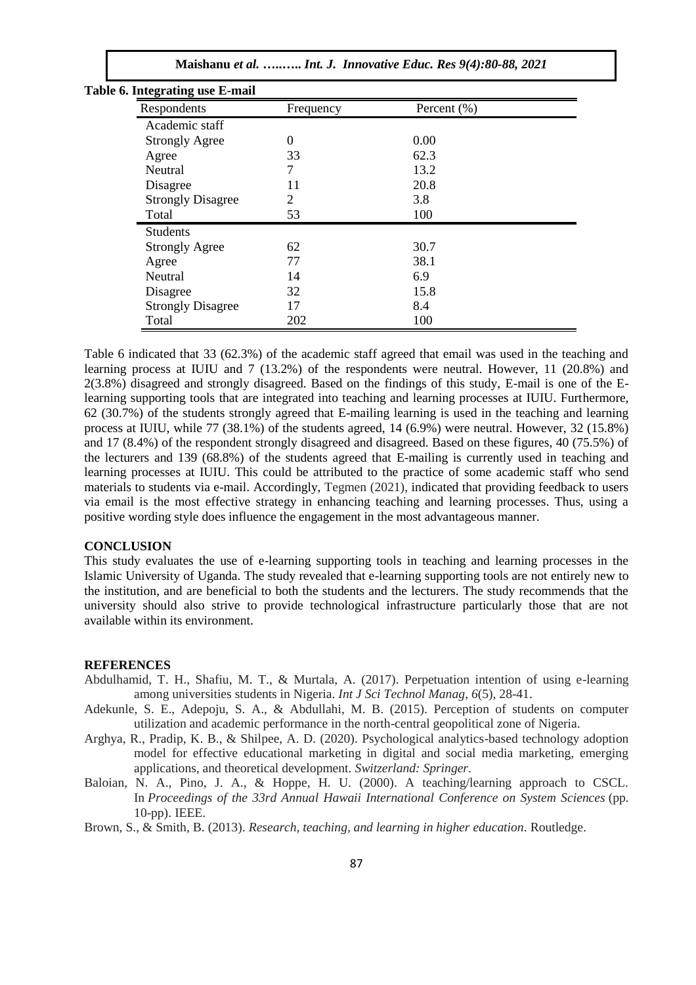| Table 6. Integrating use E-mail |           |                 |  |
|---------------------------------|-----------|-----------------|--|
| Respondents                     | Frequency | Percent $(\% )$ |  |
| Academic staff                  |           |                 |  |
| <b>Strongly Agree</b>           | $\Omega$  | 0.00            |  |
| Agree                           | 33        | 62.3            |  |
| Neutral                         | 7         | 13.2            |  |
| Disagree                        | 11        | 20.8            |  |
| <b>Strongly Disagree</b>        | 2         | 3.8             |  |
| Total                           | 53        | 100             |  |
| <b>Students</b>                 |           |                 |  |
| <b>Strongly Agree</b>           | 62        | 30.7            |  |
| Agree                           | 77        | 38.1            |  |
| Neutral                         | 14        | 6.9             |  |
| Disagree                        | 32        | 15.8            |  |
| <b>Strongly Disagree</b>        | 17        | 8.4             |  |
| Total                           | 202       | 100             |  |

# Table 6 indicated that 33 (62.3%) of the academic staff agreed that email was used in the teaching and learning process at IUIU and 7 (13.2%) of the respondents were neutral. However, 11 (20.8%) and 2(3.8%) disagreed and strongly disagreed. Based on the findings of this study, E-mail is one of the Elearning supporting tools that are integrated into teaching and learning processes at IUIU. Furthermore, 62 (30.7%) of the students strongly agreed that E-mailing learning is used in the teaching and learning process at IUIU, while 77 (38.1%) of the students agreed, 14 (6.9%) were neutral. However, 32 (15.8%) and 17 (8.4%) of the respondent strongly disagreed and disagreed. Based on these figures, 40 (75.5%) of the lecturers and 139 (68.8%) of the students agreed that E-mailing is currently used in teaching and learning processes at IUIU. This could be attributed to the practice of some academic staff who send materials to students via e-mail. Accordingly, Tegmen (2021), indicated that providing feedback to users via email is the most effective strategy in enhancing teaching and learning processes. Thus, using a positive wording style does influence the engagement in the most advantageous manner.

# **CONCLUSION**

This study evaluates the use of e-learning supporting tools in teaching and learning processes in the Islamic University of Uganda. The study revealed that e-learning supporting tools are not entirely new to the institution, and are beneficial to both the students and the lecturers. The study recommends that the university should also strive to provide technological infrastructure particularly those that are not available within its environment.

#### **REFERENCES**

- Abdulhamid, T. H., Shafiu, M. T., & Murtala, A. (2017). Perpetuation intention of using e-learning among universities students in Nigeria. *Int J Sci Technol Manag*, *6*(5), 28-41.
- Adekunle, S. E., Adepoju, S. A., & Abdullahi, M. B. (2015). Perception of students on computer utilization and academic performance in the north-central geopolitical zone of Nigeria.
- Arghya, R., Pradip, K. B., & Shilpee, A. D. (2020). Psychological analytics-based technology adoption model for effective educational marketing in digital and social media marketing, emerging applications, and theoretical development. *Switzerland: Springer*.
- Baloian, N. A., Pino, J. A., & Hoppe, H. U. (2000). A teaching/learning approach to CSCL. In *Proceedings of the 33rd Annual Hawaii International Conference on System Sciences* (pp. 10-pp). IEEE.

Brown, S., & Smith, B. (2013). *Research, teaching, and learning in higher education*. Routledge.